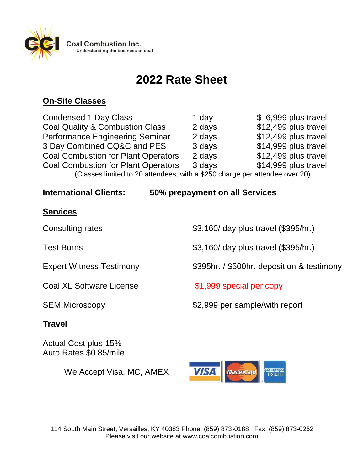

# **2022 Rate Sheet**

## **On-Site Classes**

Condensed 1 Day Class 1 day 1 day  $$ 6,999$  plus travel Coal Quality & Combustion Class 2 days \$12,499 plus travel Performance Engineering Seminar 2 days \$12,499 plus travel 3 Day Combined CQ&C and PES 3 days \$14,999 plus travel Coal Combustion for Plant Operators 2 days \$12,499 plus travel Coal Combustion for Plant Operators 3 days \$14,999 plus travel (Classes limited to 20 attendees, with a \$250 charge per attendee over 20)

**International Clients: 50% prepayment on all Services**

#### **Services**

Coal XL Software License  $$1,999$  special per copy

### **Travel**

Actual Cost plus 15% Auto Rates \$0.85/mile

We Accept Visa, MC, AMEX

Consulting rates  $$3,160/$  day plus travel (\$395/hr.)

Test Burns **1988 1988 33,160/ day plus travel (\$395/hr.)** 

Expert Witness Testimony **\$395hr.** / \$500hr. deposition & testimony

SEM Microscopy **\$2,999** per sample/with report

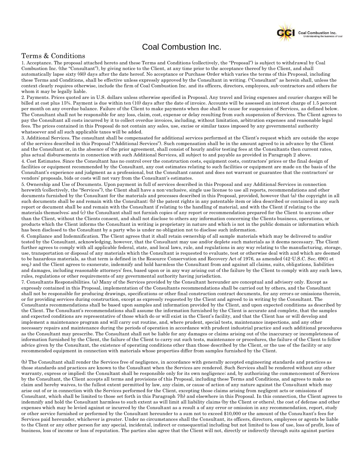

#### Coal Combustion Inc.

#### Terms & Conditions

1. Acceptance. The proposal attached hereto and these Terms and Conditions (collectively, the "Proposal") is subject to withdrawal by Coal Combustion Inc. (the "Consultant"), by giving notice to the Client, at any time prior to the acceptance thereof by the Client, and shall automatically lapse sixty (60) days after the date hereof. No acceptance or Purchase Order which varies the terms of this Proposal, including these Terms and Conditions, shall be effective unless expressly approved by the Consultant in writing. ("Consultant" as herein shall, unless the context clearly requires otherwise, include the firm of Coal Combustion Inc. and its officers, directors, employees, sub-contractors and others for whom it may be legally liable.

2. Payments. Prices quoted are in U.S. dollars unless otherwise specified in Proposal. Any travel and living expenses and courier charges will be billed at cost plus 15%. Payment is due within ten (10) days after the date of invoice. Accounts will be assessed an interest charge of 1.5 percent per month on any overdue balance. Failure of the Client to make payments when due shall be cause for suspension of Services, as defined below. The Consultant shall not be responsible for any loss, claim, cost, expense or delay resulting from such suspension of Services. The Client agrees to pay the Consultant all costs incurred by it to collect overdue invoices, including, without limitation, arbitration expenses and reasonable legal fees. The prices contained in this Proposal do not contain any sales, use, excise or similar taxes imposed by any governmental authority whatsoever and all such applicable taxes will be added.

3. Additional Services. The consultant shall be compensated for additional services performed at the Client's request which are outside the scope of the services described in this Proposal ("Additional Services"). Such compensation shall be in the amount agreed to in advance by the Client and the Consultant or, in the absence of the prior agreement, shall consist of hourly and/or testing fees at the Consultants then current rates, plus actual disbursements in connection with such Additional Services, all subject to and payable as provided in Paragraph 2 above. 4. Cost Estimates. Since the Consultant has no control over the construction costs, equipment costs, contractors' prices or the final design of

facilities or equipment recommended by the Consultant, any cost estimates relating to such facilities or equipment are made on the basis of the Consultant's experience and judgment as a professional, but the Consultant cannot and does not warrant or guarantee that the contractors' or vendors' proposals, bids or costs will not vary from the Consultant's estimates.

5. Ownership and Use of Documents. Upon payment in full of services described in this Proposal and any Additional Services in connection herewith (collectively, the "Services"), the Client shall have a non-exclusive, single use license to use all reports, recommendations and other documents furnished by the Consultant for the materials and processes described in this Proposal, provided, however that (a) the copyright in all such documents shall be and remain with the Consultant; (b) the patent rights in any patentable item or idea described or contained in any such report or document shall be and remain with the Consultant if relating to the handling of material, and with the Client if relating to the materials themselves; and (c) the Consultant shall not furnish copies of any report or recommendation prepared for the Client to anyone other than the Client, without the Clients consent, and shall not disclose to others any information concerning the Clients business, operations, or products which the Client informs the Consultant in writing is proprietary in nature and which is not in the public domain or information which has been disclosed to the Consultant by a party who is under no obligation not to disclose such information.

6. Compliance and Indemnification. The Client agrees that it shall retain ownership of all sample materials which may be delivered to and/or tested by the Consultant, acknowledging, however, that the Consultant may use and/or deplete such materials as it deems necessary. The Client further agrees to comply with all applicable federal, state, and local laws, rule, and regulations in any way relating to the manufacturing, storage, use, transportation or disposal of any materials which the Consultant is requested to evaluate, test or otherwise deal with and which are deemed to be hazardous materials, as that term is defined in the Resource Conservation and Recovery Act of 1976, as amended (42-U.S.C. Sec. 6901 et seq.) and the Client agrees to exonerate, indemnify and hold harmless the Consultant from and against all claims, suits, obligations, liabilities and damages, including reasonable attorneys' fees, based upon or in any way arising out of the failure by the Client to comply with any such laws, rules, regulations or other requirements of any governmental authority having jurisdiction.

7. Consultants Responsibilities. (a) Many of the Services provided by the Consultant hereunder are conceptual and advisory only. Except as expressly contained in this Proposal, implementation of the Consultants recommendations shall be carried out by others, and the Consultant shall not be responsible for producing drawings, specifications or other final construction contract documents, for any errors or omissions therein, or for providing services during construction, except as expressly requested by the Client and agreed to in writing by the Consultant. The Consultants recommendations shall be based upon samples and information provided by the Client, and upon expected conditions as described by the Client. The Consultant's recommendations shall assume the information furnished by the Client is accurate and complete, that the samples and expected conditions are representative of those which do or will exist in the Client's facility, and that the Client has or will develop and implement a maintenance program and will carry out routine, and, where prudent, special tests, maintenance inspections, and any other necessary repairs and maintenance during the periods of operation in accordance with prudent industrial practice and such additional procedures as the Consultant may prescribe. The Consultant shall not be liable for any damages or claims arising out of the inaccuracy or incompleteness of information furnished by the Client, the failure of the Client to carry out such tests, maintenance or procedures, the failure of the Client to follow advice given by the Consultant, the existence of operating conditions other than those described by the Client, or the use of the facility or any recommended equipment in connection with materials whose properties differ from samples furnished by the Client.

(b) The Consultant shall render the Services free of negligence, in accordance with generally accepted engineering standards and practices as those standards and practices are known to the Consultant when the Services are rendered. Such Services shall be rendered without any other warranty, express or implied; the Consultant shall be responsible only for its own negligence; and, by authorizing the commencement of Services by the Consultant, the Client accepts all terms and provisions of this Proposal, including these Terms and Conditions, and agrees to make no claim and hereby waives, to the fullest extent permitted by law, any claim, or cause of action of any nature against the Consultant which may arise out of or in connection with the Services performed for the Client, excepting those claims arising from negligent acts or omissions of Consultant, which shall be limited to those set forth in this Paragraph 7(b) and elsewhere in this Proposal. In this connection, the Client agrees to indemnify and hold the Consultant harmless to such extent as will limit all liability claims (by the Client or others), the cost of defense and other expenses which may be levied against or incurred by the Consultant as a result a of any error or omission in any recommendation, report, study or other service furnished or performed by the Consultant hereunder to a sum not to exceed \$10,000 or the amount of the Consultant's fees for Services paid hereunder, whichever is greater. Under no circumstances shall the Consultant, its officers, directors, employees or agents be liable to the Client or any other person for any special, incidental, indirect or consequential including but not limited to loss of use, loss of profit, loss of business, loss of income or loss of reputation. The parties also agree that the Client will not, directly or indirectly through suits against parties